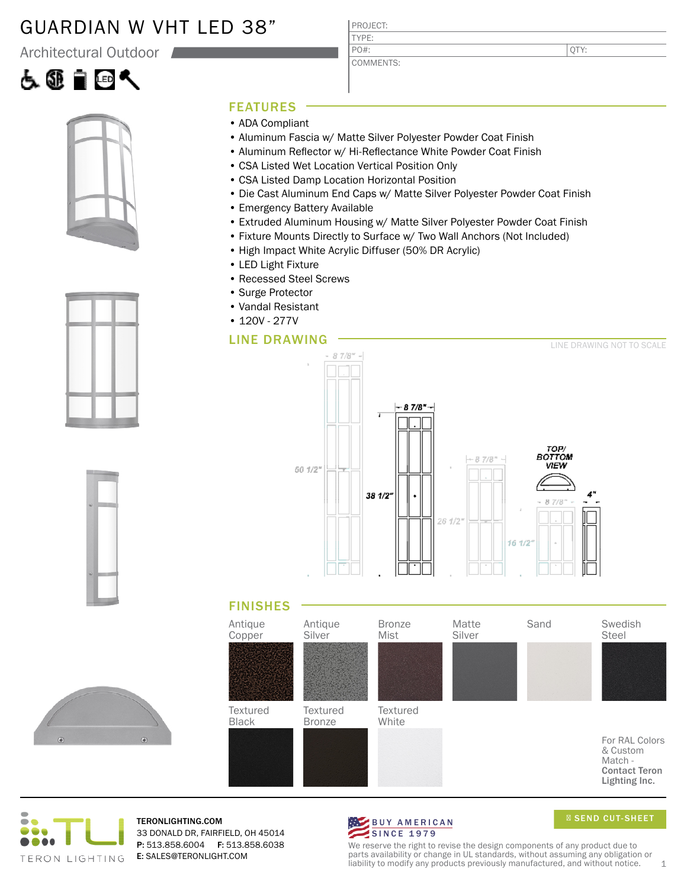## GUARDIAN W VHT LED 38"

Architectural Outdoor











### FEATURES

- ADA Compliant
- Aluminum Fascia w/ Matte Silver Polyester Powder Coat Finish

PROJECT: TYPE:

PO#:

COMMENTS:

- Aluminum Reflector w/ Hi-Reflectance White Powder Coat Finish
- CSA Listed Wet Location Vertical Position Only
- CSA Listed Damp Location Horizontal Position
- Die Cast Aluminum End Caps w/ Matte Silver Polyester Powder Coat Finish
- Emergency Battery Available
- Extruded Aluminum Housing w/ Matte Silver Polyester Powder Coat Finish
- Fixture Mounts Directly to Surface w/ Two Wall Anchors (Not Included)
- High Impact White Acrylic Diffuser (50% DR Acrylic)
- LED Light Fixture
- Recessed Steel Screws
- Surge Protector
- Vandal Resistant
- 120V 277V

### LINE DRAWING



### FINISHES





TERONLIGHTING.COM 33 DONALD DR, FAIRFIELD, OH 45014 P: 513.858.6004 F: 513.858.6038 E: SALES@TERONLIGHT.COM



SEND CUT-SHEET

We reserve the right to revise the design components of any product due to parts availability or change in UL standards, without assuming any obligation or liability to modify any products previously manufactured, and without notice.  $1$ 

QTY: